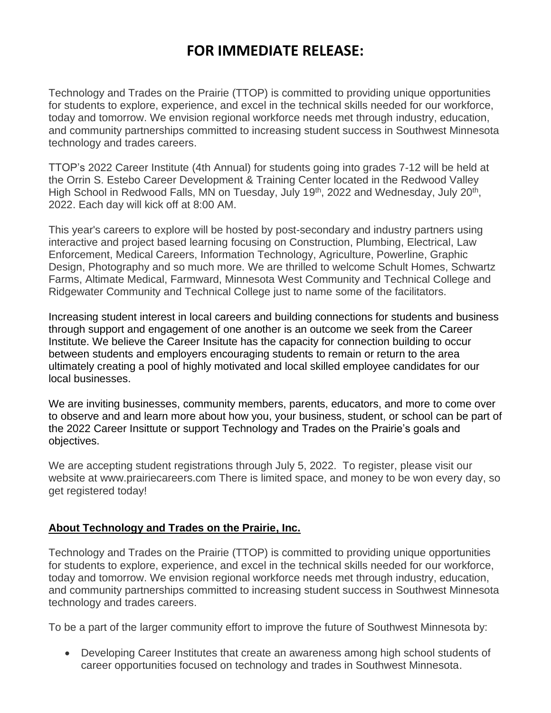## **FOR IMMEDIATE RELEASE:**

Technology and Trades on the Prairie (TTOP) is committed to providing unique opportunities for students to explore, experience, and excel in the technical skills needed for our workforce, today and tomorrow. We envision regional workforce needs met through industry, education, and community partnerships committed to increasing student success in Southwest Minnesota technology and trades careers.

TTOP's 2022 Career Institute (4th Annual) for students going into grades 7-12 will be held at the Orrin S. Estebo Career Development & Training Center located in the Redwood Valley High School in Redwood Falls, MN on Tuesday, July 19<sup>th</sup>, 2022 and Wednesday, July 20<sup>th</sup>, 2022. Each day will kick off at 8:00 AM.

This year's careers to explore will be hosted by post-secondary and industry partners using interactive and project based learning focusing on Construction, Plumbing, Electrical, Law Enforcement, Medical Careers, Information Technology, Agriculture, Powerline, Graphic Design, Photography and so much more. We are thrilled to welcome Schult Homes, Schwartz Farms, Altimate Medical, Farmward, Minnesota West Community and Technical College and Ridgewater Community and Technical College just to name some of the facilitators.

Increasing student interest in local careers and building connections for students and business through support and engagement of one another is an outcome we seek from the Career Institute. We believe the Career Insitute has the capacity for connection building to occur between students and employers encouraging students to remain or return to the area ultimately creating a pool of highly motivated and local skilled employee candidates for our local businesses.

We are inviting businesses, community members, parents, educators, and more to come over to observe and and learn more about how you, your business, student, or school can be part of the 2022 Career Insittute or support Technology and Trades on the Prairie's goals and objectives.

We are accepting student registrations through July 5, 2022. To register, please visit our website at www.prairiecareers.com There is limited space, and money to be won every day, so get registered today!

## **About Technology and Trades on the Prairie, Inc.**

Technology and Trades on the Prairie (TTOP) is committed to providing unique opportunities for students to explore, experience, and excel in the technical skills needed for our workforce, today and tomorrow. We envision regional workforce needs met through industry, education, and community partnerships committed to increasing student success in Southwest Minnesota technology and trades careers.

To be a part of the larger community effort to improve the future of Southwest Minnesota by:

• Developing Career Institutes that create an awareness among high school students of career opportunities focused on technology and trades in Southwest Minnesota.